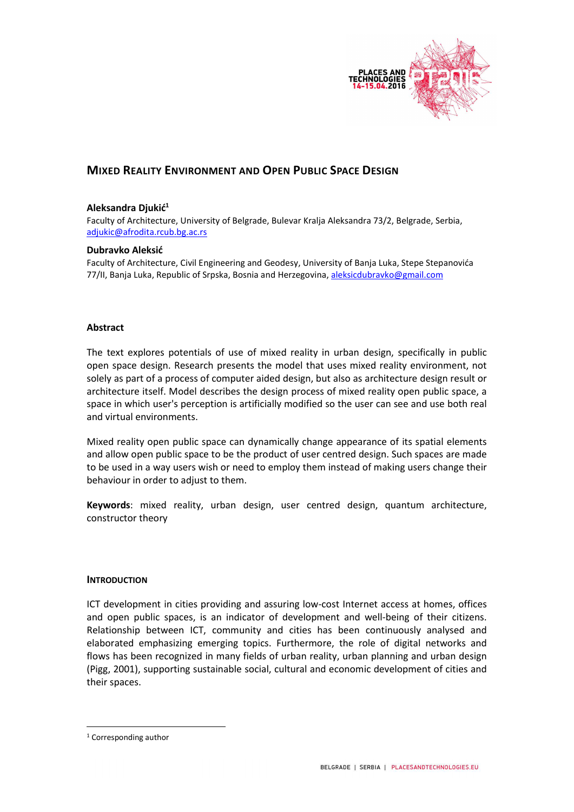

# MIXED REALITY ENVIRONMENT AND OPEN PUBLIC SPACE DESIGN

# Aleksandra Diukić<sup>1</sup>

Faculty of Architecture, University of Belgrade, Bulevar Kralja Aleksandra 73/2, Belgrade, Serbia, adjukic@afrodita.rcub.bg.ac.rs

#### Dubravko Aleksić

Faculty of Architecture, Civil Engineering and Geodesy, University of Banja Luka, Stepe Stepanovića 77/II, Banja Luka, Republic of Srpska, Bosnia and Herzegovina, aleksicdubravko@gmail.com

#### Abstract

The text explores potentials of use of mixed reality in urban design, specifically in public open space design. Research presents the model that uses mixed reality environment, not solely as part of a process of computer aided design, but also as architecture design result or architecture itself. Model describes the design process of mixed reality open public space, a space in which user's perception is artificially modified so the user can see and use both real and virtual environments.

Mixed reality open public space can dynamically change appearance of its spatial elements and allow open public space to be the product of user centred design. Such spaces are made to be used in a way users wish or need to employ them instead of making users change their behaviour in order to adjust to them.

Keywords: mixed reality, urban design, user centred design, quantum architecture, constructor theory

### INTRODUCTION

ICT development in cities providing and assuring low-cost Internet access at homes, offices and open public spaces, is an indicator of development and well-being of their citizens. Relationship between ICT, community and cities has been continuously analysed and elaborated emphasizing emerging topics. Furthermore, the role of digital networks and flows has been recognized in many fields of urban reality, urban planning and urban design (Pigg, 2001), supporting sustainable social, cultural and economic development of cities and their spaces.

-

<sup>1</sup> Corresponding author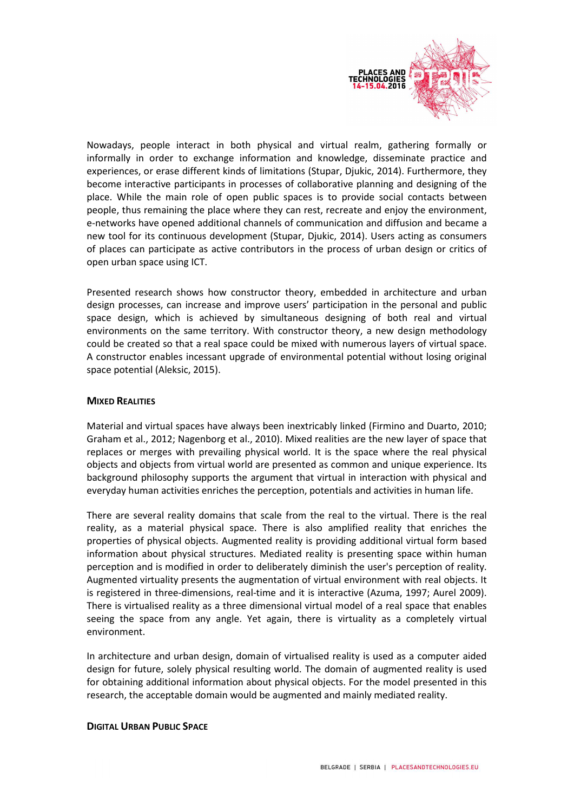

Nowadays, people interact in both physical and virtual realm, gathering formally or informally in order to exchange information and knowledge, disseminate practice and experiences, or erase different kinds of limitations (Stupar, Djukic, 2014). Furthermore, they become interactive participants in processes of collaborative planning and designing of the place. While the main role of open public spaces is to provide social contacts between people, thus remaining the place where they can rest, recreate and enjoy the environment, e-networks have opened additional channels of communication and diffusion and became a new tool for its continuous development (Stupar, Djukic, 2014). Users acting as consumers of places can participate as active contributors in the process of urban design or critics of open urban space using ICT.

Presented research shows how constructor theory, embedded in architecture and urban design processes, can increase and improve users' participation in the personal and public space design, which is achieved by simultaneous designing of both real and virtual environments on the same territory. With constructor theory, a new design methodology could be created so that a real space could be mixed with numerous layers of virtual space. A constructor enables incessant upgrade of environmental potential without losing original space potential (Aleksic, 2015).

# **MIXED REALITIES**

Material and virtual spaces have always been inextricably linked (Firmino and Duarto, 2010; Graham et al., 2012; Nagenborg et al., 2010). Mixed realities are the new layer of space that replaces or merges with prevailing physical world. It is the space where the real physical objects and objects from virtual world are presented as common and unique experience. Its background philosophy supports the argument that virtual in interaction with physical and everyday human activities enriches the perception, potentials and activities in human life.

There are several reality domains that scale from the real to the virtual. There is the real reality, as a material physical space. There is also amplified reality that enriches the properties of physical objects. Augmented reality is providing additional virtual form based information about physical structures. Mediated reality is presenting space within human perception and is modified in order to deliberately diminish the user's perception of reality. Augmented virtuality presents the augmentation of virtual environment with real objects. It is registered in three-dimensions, real-time and it is interactive (Azuma, 1997; Aurel 2009). There is virtualised reality as a three dimensional virtual model of a real space that enables seeing the space from any angle. Yet again, there is virtuality as a completely virtual environment.

In architecture and urban design, domain of virtualised reality is used as a computer aided design for future, solely physical resulting world. The domain of augmented reality is used for obtaining additional information about physical objects. For the model presented in this research, the acceptable domain would be augmented and mainly mediated reality.

### DIGITAL URBAN PUBLIC SPACE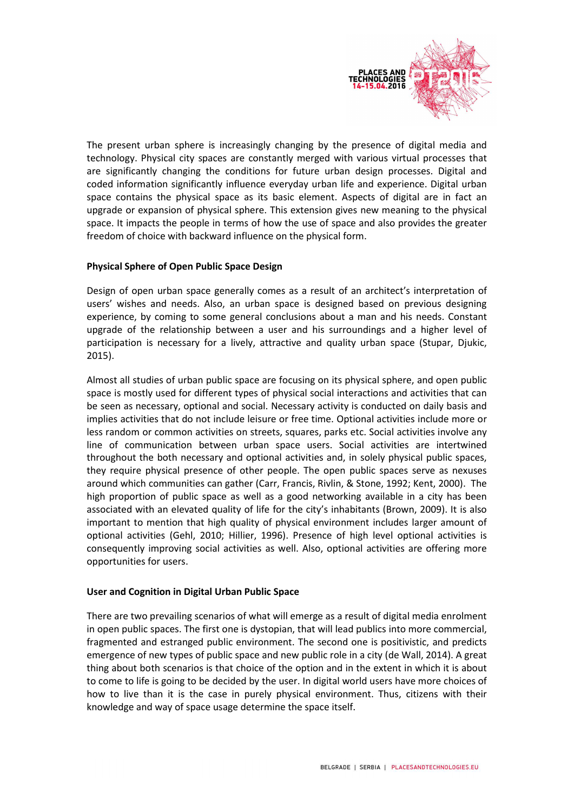

The present urban sphere is increasingly changing by the presence of digital media and technology. Physical city spaces are constantly merged with various virtual processes that are significantly changing the conditions for future urban design processes. Digital and coded information significantly influence everyday urban life and experience. Digital urban space contains the physical space as its basic element. Aspects of digital are in fact an upgrade or expansion of physical sphere. This extension gives new meaning to the physical space. It impacts the people in terms of how the use of space and also provides the greater freedom of choice with backward influence on the physical form.

### Physical Sphere of Open Public Space Design

Design of open urban space generally comes as a result of an architect's interpretation of users' wishes and needs. Also, an urban space is designed based on previous designing experience, by coming to some general conclusions about a man and his needs. Constant upgrade of the relationship between a user and his surroundings and a higher level of participation is necessary for a lively, attractive and quality urban space (Stupar, Djukic, 2015).

Almost all studies of urban public space are focusing on its physical sphere, and open public space is mostly used for different types of physical social interactions and activities that can be seen as necessary, optional and social. Necessary activity is conducted on daily basis and implies activities that do not include leisure or free time. Optional activities include more or less random or common activities on streets, squares, parks etc. Social activities involve any line of communication between urban space users. Social activities are intertwined throughout the both necessary and optional activities and, in solely physical public spaces, they require physical presence of other people. The open public spaces serve as nexuses around which communities can gather (Carr, Francis, Rivlin, & Stone, 1992; Kent, 2000). The high proportion of public space as well as a good networking available in a city has been associated with an elevated quality of life for the city's inhabitants (Brown, 2009). It is also important to mention that high quality of physical environment includes larger amount of optional activities (Gehl, 2010; Hillier, 1996). Presence of high level optional activities is consequently improving social activities as well. Also, optional activities are offering more opportunities for users.

### User and Cognition in Digital Urban Public Space

There are two prevailing scenarios of what will emerge as a result of digital media enrolment in open public spaces. The first one is dystopian, that will lead publics into more commercial, fragmented and estranged public environment. The second one is positivistic, and predicts emergence of new types of public space and new public role in a city (de Wall, 2014). A great thing about both scenarios is that choice of the option and in the extent in which it is about to come to life is going to be decided by the user. In digital world users have more choices of how to live than it is the case in purely physical environment. Thus, citizens with their knowledge and way of space usage determine the space itself.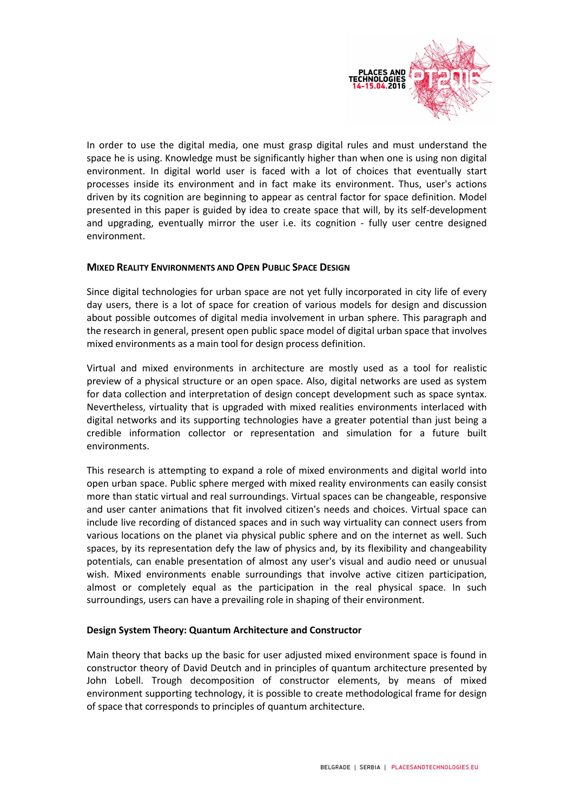

In order to use the digital media, one must grasp digital rules and must understand the space he is using. Knowledge must be significantly higher than when one is using non digital environment. In digital world user is faced with a lot of choices that eventually start processes inside its environment and in fact make its environment. Thus, user's actions driven by its cognition are beginning to appear as central factor for space definition. Model presented in this paper is guided by idea to create space that will, by its self-development and upgrading, eventually mirror the user i.e. its cognition - fully user centre designed environment.

### MIXED REALITY ENVIRONMENTS AND OPEN PUBLIC SPACE DESIGN

Since digital technologies for urban space are not yet fully incorporated in city life of every day users, there is a lot of space for creation of various models for design and discussion about possible outcomes of digital media involvement in urban sphere. This paragraph and the research in general, present open public space model of digital urban space that involves mixed environments as a main tool for design process definition.

Virtual and mixed environments in architecture are mostly used as a tool for realistic preview of a physical structure or an open space. Also, digital networks are used as system for data collection and interpretation of design concept development such as space syntax. Nevertheless, virtuality that is upgraded with mixed realities environments interlaced with digital networks and its supporting technologies have a greater potential than just being a credible information collector or representation and simulation for a future built environments.

This research is attempting to expand a role of mixed environments and digital world into open urban space. Public sphere merged with mixed reality environments can easily consist more than static virtual and real surroundings. Virtual spaces can be changeable, responsive and user canter animations that fit involved citizen's needs and choices. Virtual space can include live recording of distanced spaces and in such way virtuality can connect users from various locations on the planet via physical public sphere and on the internet as well. Such spaces, by its representation defy the law of physics and, by its flexibility and changeability potentials, can enable presentation of almost any user's visual and audio need or unusual wish. Mixed environments enable surroundings that involve active citizen participation, almost or completely equal as the participation in the real physical space. In such surroundings, users can have a prevailing role in shaping of their environment.

### Design System Theory: Quantum Architecture and Constructor

Main theory that backs up the basic for user adjusted mixed environment space is found in constructor theory of David Deutch and in principles of quantum architecture presented by John Lobell. Trough decomposition of constructor elements, by means of mixed environment supporting technology, it is possible to create methodological frame for design of space that corresponds to principles of quantum architecture.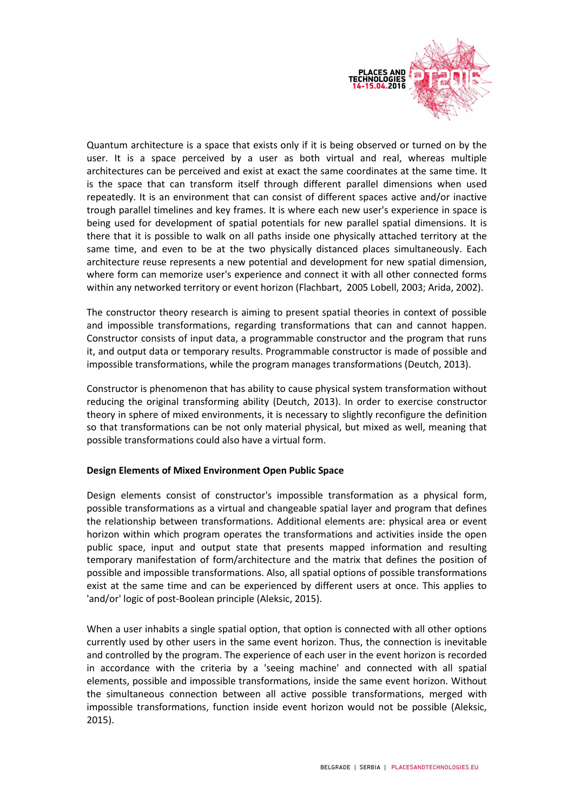

Quantum architecture is a space that exists only if it is being observed or turned on by the user. It is a space perceived by a user as both virtual and real, whereas multiple architectures can be perceived and exist at exact the same coordinates at the same time. It is the space that can transform itself through different parallel dimensions when used repeatedly. It is an environment that can consist of different spaces active and/or inactive trough parallel timelines and key frames. It is where each new user's experience in space is being used for development of spatial potentials for new parallel spatial dimensions. It is there that it is possible to walk on all paths inside one physically attached territory at the same time, and even to be at the two physically distanced places simultaneously. Each architecture reuse represents a new potential and development for new spatial dimension, where form can memorize user's experience and connect it with all other connected forms within any networked territory or event horizon (Flachbart, 2005 Lobell, 2003; Arida, 2002).

The constructor theory research is aiming to present spatial theories in context of possible and impossible transformations, regarding transformations that can and cannot happen. Constructor consists of input data, a programmable constructor and the program that runs it, and output data or temporary results. Programmable constructor is made of possible and impossible transformations, while the program manages transformations (Deutch, 2013).

Constructor is phenomenon that has ability to cause physical system transformation without reducing the original transforming ability (Deutch, 2013). In order to exercise constructor theory in sphere of mixed environments, it is necessary to slightly reconfigure the definition so that transformations can be not only material physical, but mixed as well, meaning that possible transformations could also have a virtual form.

### Design Elements of Mixed Environment Open Public Space

Design elements consist of constructor's impossible transformation as a physical form, possible transformations as a virtual and changeable spatial layer and program that defines the relationship between transformations. Additional elements are: physical area or event horizon within which program operates the transformations and activities inside the open public space, input and output state that presents mapped information and resulting temporary manifestation of form/architecture and the matrix that defines the position of possible and impossible transformations. Also, all spatial options of possible transformations exist at the same time and can be experienced by different users at once. This applies to 'and/or' logic of post-Boolean principle (Aleksic, 2015).

When a user inhabits a single spatial option, that option is connected with all other options currently used by other users in the same event horizon. Thus, the connection is inevitable and controlled by the program. The experience of each user in the event horizon is recorded in accordance with the criteria by a 'seeing machine' and connected with all spatial elements, possible and impossible transformations, inside the same event horizon. Without the simultaneous connection between all active possible transformations, merged with impossible transformations, function inside event horizon would not be possible (Aleksic, 2015).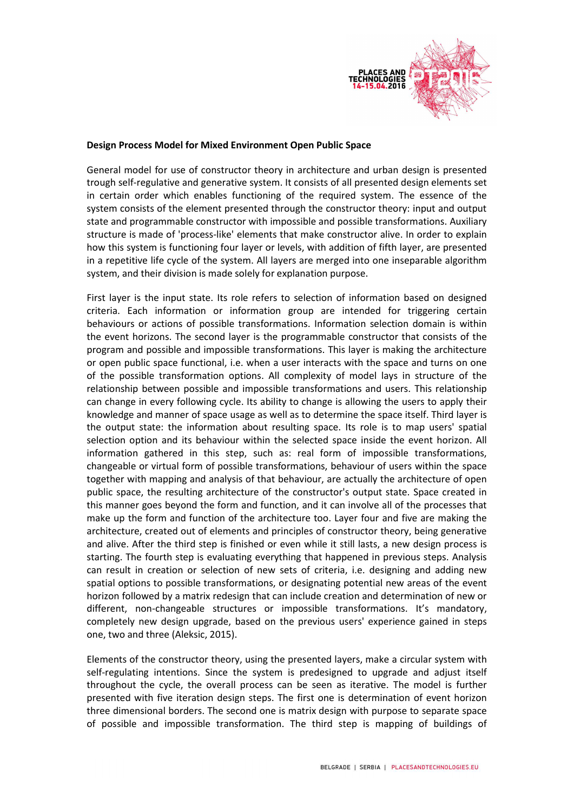

### Design Process Model for Mixed Environment Open Public Space

General model for use of constructor theory in architecture and urban design is presented trough self-regulative and generative system. It consists of all presented design elements set in certain order which enables functioning of the required system. The essence of the system consists of the element presented through the constructor theory: input and output state and programmable constructor with impossible and possible transformations. Auxiliary structure is made of 'process-like' elements that make constructor alive. In order to explain how this system is functioning four layer or levels, with addition of fifth layer, are presented in a repetitive life cycle of the system. All layers are merged into one inseparable algorithm system, and their division is made solely for explanation purpose.

First layer is the input state. Its role refers to selection of information based on designed criteria. Each information or information group are intended for triggering certain behaviours or actions of possible transformations. Information selection domain is within the event horizons. The second layer is the programmable constructor that consists of the program and possible and impossible transformations. This layer is making the architecture or open public space functional, i.e. when a user interacts with the space and turns on one of the possible transformation options. All complexity of model lays in structure of the relationship between possible and impossible transformations and users. This relationship can change in every following cycle. Its ability to change is allowing the users to apply their knowledge and manner of space usage as well as to determine the space itself. Third layer is the output state: the information about resulting space. Its role is to map users' spatial selection option and its behaviour within the selected space inside the event horizon. All information gathered in this step, such as: real form of impossible transformations, changeable or virtual form of possible transformations, behaviour of users within the space together with mapping and analysis of that behaviour, are actually the architecture of open public space, the resulting architecture of the constructor's output state. Space created in this manner goes beyond the form and function, and it can involve all of the processes that make up the form and function of the architecture too. Layer four and five are making the architecture, created out of elements and principles of constructor theory, being generative and alive. After the third step is finished or even while it still lasts, a new design process is starting. The fourth step is evaluating everything that happened in previous steps. Analysis can result in creation or selection of new sets of criteria, i.e. designing and adding new spatial options to possible transformations, or designating potential new areas of the event horizon followed by a matrix redesign that can include creation and determination of new or different, non-changeable structures or impossible transformations. It's mandatory, completely new design upgrade, based on the previous users' experience gained in steps one, two and three (Aleksic, 2015).

Elements of the constructor theory, using the presented layers, make a circular system with self-regulating intentions. Since the system is predesigned to upgrade and adjust itself throughout the cycle, the overall process can be seen as iterative. The model is further presented with five iteration design steps. The first one is determination of event horizon three dimensional borders. The second one is matrix design with purpose to separate space of possible and impossible transformation. The third step is mapping of buildings of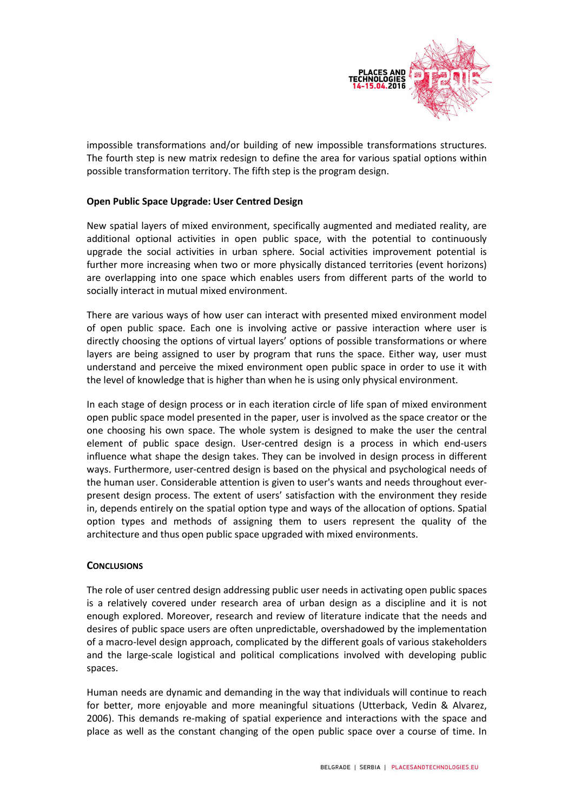

impossible transformations and/or building of new impossible transformations structures. The fourth step is new matrix redesign to define the area for various spatial options within possible transformation territory. The fifth step is the program design.

# Open Public Space Upgrade: User Centred Design

New spatial layers of mixed environment, specifically augmented and mediated reality, are additional optional activities in open public space, with the potential to continuously upgrade the social activities in urban sphere. Social activities improvement potential is further more increasing when two or more physically distanced territories (event horizons) are overlapping into one space which enables users from different parts of the world to socially interact in mutual mixed environment.

There are various ways of how user can interact with presented mixed environment model of open public space. Each one is involving active or passive interaction where user is directly choosing the options of virtual layers' options of possible transformations or where layers are being assigned to user by program that runs the space. Either way, user must understand and perceive the mixed environment open public space in order to use it with the level of knowledge that is higher than when he is using only physical environment.

In each stage of design process or in each iteration circle of life span of mixed environment open public space model presented in the paper, user is involved as the space creator or the one choosing his own space. The whole system is designed to make the user the central element of public space design. User-centred design is a process in which end-users influence what shape the design takes. They can be involved in design process in different ways. Furthermore, user-centred design is based on the physical and psychological needs of the human user. Considerable attention is given to user's wants and needs throughout everpresent design process. The extent of users' satisfaction with the environment they reside in, depends entirely on the spatial option type and ways of the allocation of options. Spatial option types and methods of assigning them to users represent the quality of the architecture and thus open public space upgraded with mixed environments.

### **CONCLUSIONS**

The role of user centred design addressing public user needs in activating open public spaces is a relatively covered under research area of urban design as a discipline and it is not enough explored. Moreover, research and review of literature indicate that the needs and desires of public space users are often unpredictable, overshadowed by the implementation of a macro-level design approach, complicated by the different goals of various stakeholders and the large-scale logistical and political complications involved with developing public spaces.

Human needs are dynamic and demanding in the way that individuals will continue to reach for better, more enjoyable and more meaningful situations (Utterback, Vedin & Alvarez, 2006). This demands re-making of spatial experience and interactions with the space and place as well as the constant changing of the open public space over a course of time. In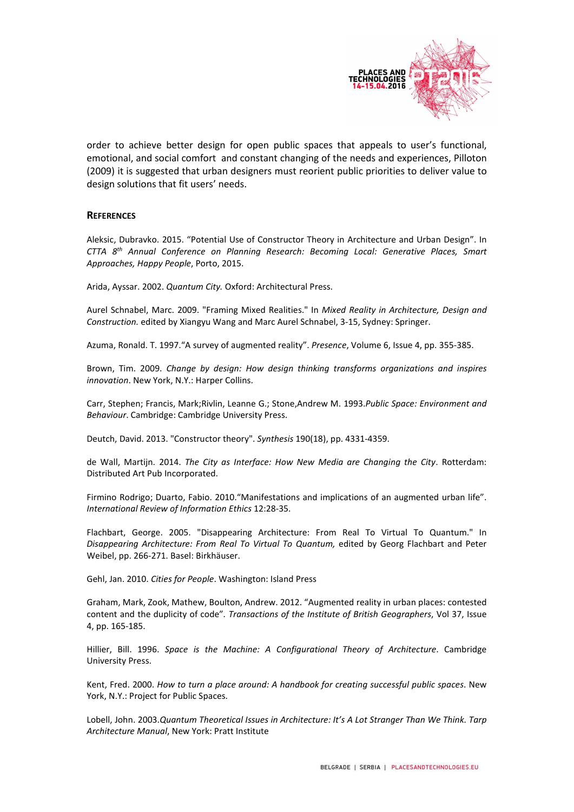

order to achieve better design for open public spaces that appeals to user's functional, emotional, and social comfort and constant changing of the needs and experiences, Pilloton (2009) it is suggested that urban designers must reorient public priorities to deliver value to design solutions that fit users' needs.

#### **REFERENCES**

Aleksic, Dubravko. 2015. "Potential Use of Constructor Theory in Architecture and Urban Design". In CTTA 8th Annual Conference on Planning Research: Becoming Local: Generative Places, Smart Approaches, Happy People, Porto, 2015.

Arida, Ayssar. 2002. Quantum City. Oxford: Architectural Press.

Aurel Schnabel, Marc. 2009. "Framing Mixed Realities." In Mixed Reality in Architecture, Design and Construction. edited by Xiangyu Wang and Marc Aurel Schnabel, 3-15, Sydney: Springer.

Azuma, Ronald. T. 1997."A survey of augmented reality". Presence, Volume 6, Issue 4, pp. 355-385.

Brown, Tim. 2009. Change by design: How design thinking transforms organizations and inspires innovation. New York, N.Y.: Harper Collins.

Carr, Stephen; Francis, Mark;Rivlin, Leanne G.; Stone,Andrew M. 1993.Public Space: Environment and Behaviour. Cambridge: Cambridge University Press.

Deutch, David. 2013. "Constructor theory". Synthesis 190(18), pp. 4331-4359.

de Wall, Martijn. 2014. The City as Interface: How New Media are Changing the City. Rotterdam: Distributed Art Pub Incorporated.

Firmino Rodrigo; Duarto, Fabio. 2010."Manifestations and implications of an augmented urban life". International Review of Information Ethics 12:28-35.

Flachbart, George. 2005. "Disappearing Architecture: From Real To Virtual To Quantum." In Disappearing Architecture: From Real To Virtual To Quantum, edited by Georg Flachbart and Peter Weibel, pp. 266-271. Basel: Birkhäuser.

Gehl, Jan. 2010. Cities for People. Washington: Island Press

Graham, Mark, Zook, Mathew, Boulton, Andrew. 2012. "Augmented reality in urban places: contested content and the duplicity of code". Transactions of the Institute of British Geographers, Vol 37, Issue 4, pp. 165-185.

Hillier, Bill. 1996. Space is the Machine: A Configurational Theory of Architecture. Cambridge University Press.

Kent, Fred. 2000. How to turn a place around: A handbook for creating successful public spaces. New York, N.Y.: Project for Public Spaces.

Lobell, John. 2003.Quantum Theoretical Issues in Architecture: It's A Lot Stranger Than We Think. Tarp Architecture Manual, New York: Pratt Institute